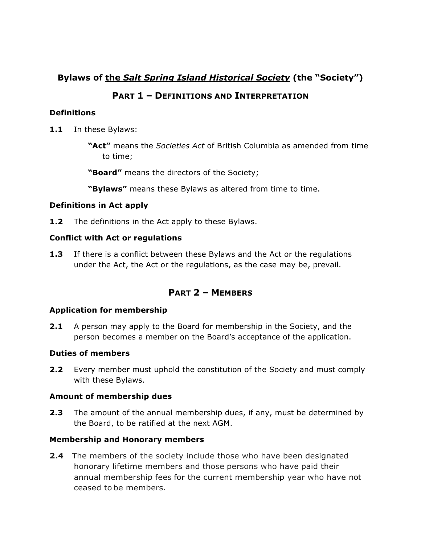# **Bylaws of the** *Salt Spring Island Historical Society* **(the "Society")**

## **PART 1 – DEFINITIONS AND INTERPRETATION**

## **Definitions**

- **1.1** In these Bylaws:
	- **"Act"** means the *Societies Act* of British Columbia as amended from time to time;
	- **"Board"** means the directors of the Society;
	- **"Bylaws"** means these Bylaws as altered from time to time.

## **Definitions in Act apply**

**1.2** The definitions in the Act apply to these Bylaws.

## **Conflict with Act or regulations**

**1.3** If there is a conflict between these Bylaws and the Act or the regulations under the Act, the Act or the regulations, as the case may be, prevail.

## **PART 2 – MEMBERS**

### **Application for membership**

**2.1** A person may apply to the Board for membership in the Society, and the person becomes a member on the Board's acceptance of the application.

### **Duties of members**

**2.2** Every member must uphold the constitution of the Society and must comply with these Bylaws.

### **Amount of membership dues**

**2.3** The amount of the annual membership dues, if any, must be determined by the Board, to be ratified at the next AGM.

## **Membership and Honorary members**

**2.4** The members of the society include those who have been designated honorary lifetime members and those persons who have paid their annual membership fees for the current membership year who have not ceased to be members.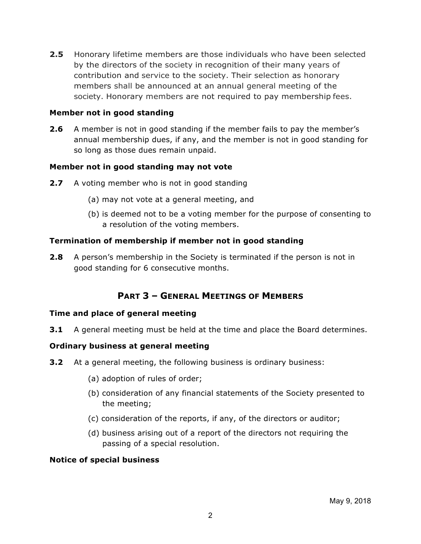**2.5** Honorary lifetime members are those individuals who have been selected by the directors of the society in recognition of their many years of contribution and service to the society. Their selection as honorary members shall be announced at an annual general meeting of the society. Honorary members are not required to pay membership fees.

### **Member not in good standing**

**2.6** A member is not in good standing if the member fails to pay the member's annual membership dues, if any, and the member is not in good standing for so long as those dues remain unpaid.

### **Member not in good standing may not vote**

- **2.7** A voting member who is not in good standing
	- (a) may not vote at a general meeting, and
	- (b) is deemed not to be a voting member for the purpose of consenting to a resolution of the voting members.

### **Termination of membership if member not in good standing**

**2.8** A person's membership in the Society is terminated if the person is not in good standing for 6 consecutive months.

## **PART 3 – GENERAL MEETINGS OF MEMBERS**

#### **Time and place of general meeting**

**3.1** A general meeting must be held at the time and place the Board determines.

#### **Ordinary business at general meeting**

- **3.2** At a general meeting, the following business is ordinary business:
	- (a) adoption of rules of order;
	- (b) consideration of any financial statements of the Society presented to the meeting;
	- (c) consideration of the reports, if any, of the directors or auditor;
	- (d) business arising out of a report of the directors not requiring the passing of a special resolution.

#### **Notice of special business**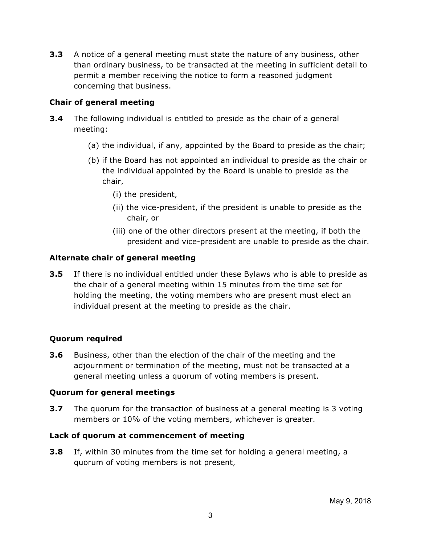**3.3** A notice of a general meeting must state the nature of any business, other than ordinary business, to be transacted at the meeting in sufficient detail to permit a member receiving the notice to form a reasoned judgment concerning that business.

## **Chair of general meeting**

- **3.4** The following individual is entitled to preside as the chair of a general meeting:
	- (a) the individual, if any, appointed by the Board to preside as the chair;
	- (b) if the Board has not appointed an individual to preside as the chair or the individual appointed by the Board is unable to preside as the chair,
		- (i) the president,
		- (ii) the vice-president, if the president is unable to preside as the chair, or
		- (iii) one of the other directors present at the meeting, if both the president and vice-president are unable to preside as the chair.

## **Alternate chair of general meeting**

**3.5** If there is no individual entitled under these Bylaws who is able to preside as the chair of a general meeting within 15 minutes from the time set for holding the meeting, the voting members who are present must elect an individual present at the meeting to preside as the chair.

## **Quorum required**

**3.6** Business, other than the election of the chair of the meeting and the adjournment or termination of the meeting, must not be transacted at a general meeting unless a quorum of voting members is present.

### **Quorum for general meetings**

**3.7** The quorum for the transaction of business at a general meeting is 3 voting members or 10% of the voting members, whichever is greater.

### **Lack of quorum at commencement of meeting**

**3.8** If, within 30 minutes from the time set for holding a general meeting, a quorum of voting members is not present,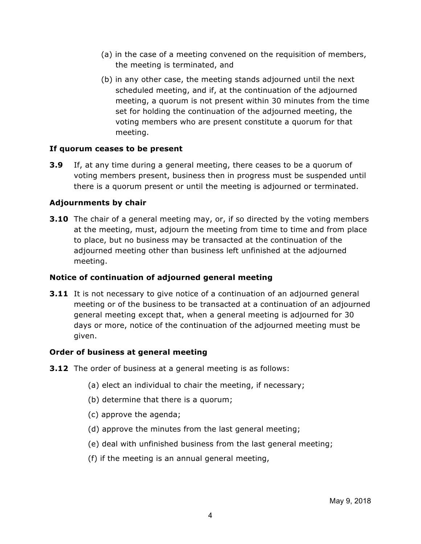- (a) in the case of a meeting convened on the requisition of members, the meeting is terminated, and
- (b) in any other case, the meeting stands adjourned until the next scheduled meeting, and if, at the continuation of the adjourned meeting, a quorum is not present within 30 minutes from the time set for holding the continuation of the adjourned meeting, the voting members who are present constitute a quorum for that meeting.

### **If quorum ceases to be present**

**3.9** If, at any time during a general meeting, there ceases to be a quorum of voting members present, business then in progress must be suspended until there is a quorum present or until the meeting is adjourned or terminated.

## **Adjournments by chair**

**3.10** The chair of a general meeting may, or, if so directed by the voting members at the meeting, must, adjourn the meeting from time to time and from place to place, but no business may be transacted at the continuation of the adjourned meeting other than business left unfinished at the adjourned meeting.

## **Notice of continuation of adjourned general meeting**

**3.11** It is not necessary to give notice of a continuation of an adjourned general meeting or of the business to be transacted at a continuation of an adjourned general meeting except that, when a general meeting is adjourned for 30 days or more, notice of the continuation of the adjourned meeting must be given.

### **Order of business at general meeting**

- **3.12** The order of business at a general meeting is as follows:
	- (a) elect an individual to chair the meeting, if necessary;
	- (b) determine that there is a quorum;
	- (c) approve the agenda;
	- (d) approve the minutes from the last general meeting;
	- (e) deal with unfinished business from the last general meeting;
	- (f) if the meeting is an annual general meeting,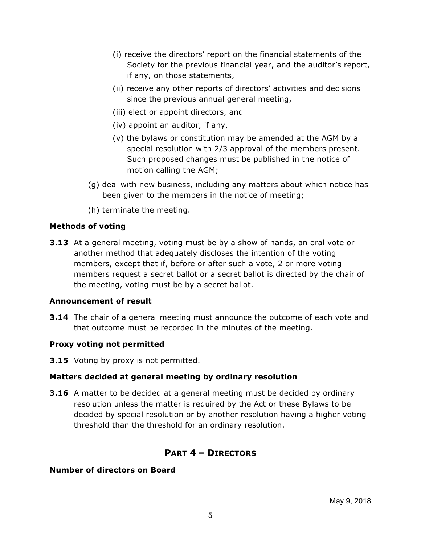- (i) receive the directors' report on the financial statements of the Society for the previous financial year, and the auditor's report, if any, on those statements,
- (ii) receive any other reports of directors' activities and decisions since the previous annual general meeting,
- (iii) elect or appoint directors, and
- (iv) appoint an auditor, if any,
- (v) the bylaws or constitution may be amended at the AGM by a special resolution with 2/3 approval of the members present. Such proposed changes must be published in the notice of motion calling the AGM;
- (g) deal with new business, including any matters about which notice has been given to the members in the notice of meeting;
- (h) terminate the meeting.

### **Methods of voting**

**3.13** At a general meeting, voting must be by a show of hands, an oral vote or another method that adequately discloses the intention of the voting members, except that if, before or after such a vote, 2 or more voting members request a secret ballot or a secret ballot is directed by the chair of the meeting, voting must be by a secret ballot.

### **Announcement of result**

**3.14** The chair of a general meeting must announce the outcome of each vote and that outcome must be recorded in the minutes of the meeting.

### **Proxy voting not permitted**

**3.15** Voting by proxy is not permitted.

### **Matters decided at general meeting by ordinary resolution**

**3.16** A matter to be decided at a general meeting must be decided by ordinary resolution unless the matter is required by the Act or these Bylaws to be decided by special resolution or by another resolution having a higher voting threshold than the threshold for an ordinary resolution.

## **PART 4 – DIRECTORS**

#### **Number of directors on Board**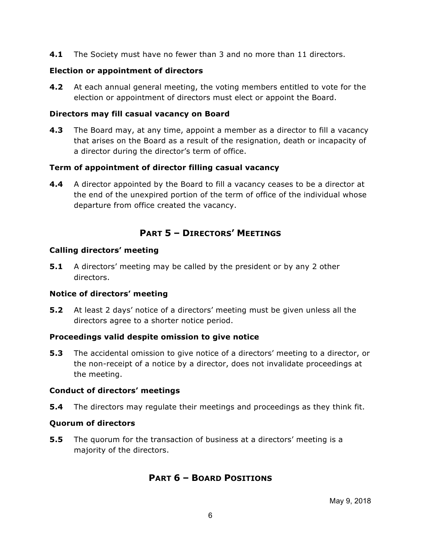**4.1** The Society must have no fewer than 3 and no more than 11 directors.

## **Election or appointment of directors**

**4.2** At each annual general meeting, the voting members entitled to vote for the election or appointment of directors must elect or appoint the Board.

## **Directors may fill casual vacancy on Board**

**4.3** The Board may, at any time, appoint a member as a director to fill a vacancy that arises on the Board as a result of the resignation, death or incapacity of a director during the director's term of office.

## **Term of appointment of director filling casual vacancy**

**4.4** A director appointed by the Board to fill a vacancy ceases to be a director at the end of the unexpired portion of the term of office of the individual whose departure from office created the vacancy.

# **PART 5 – DIRECTORS' MEETINGS**

### **Calling directors' meeting**

**5.1** A directors' meeting may be called by the president or by any 2 other directors.

### **Notice of directors' meeting**

**5.2** At least 2 days' notice of a directors' meeting must be given unless all the directors agree to a shorter notice period.

### **Proceedings valid despite omission to give notice**

**5.3** The accidental omission to give notice of a directors' meeting to a director, or the non-receipt of a notice by a director, does not invalidate proceedings at the meeting.

### **Conduct of directors' meetings**

**5.4** The directors may regulate their meetings and proceedings as they think fit.

## **Quorum of directors**

**5.5** The quorum for the transaction of business at a directors' meeting is a majority of the directors.

## **PART 6 – BOARD POSITIONS**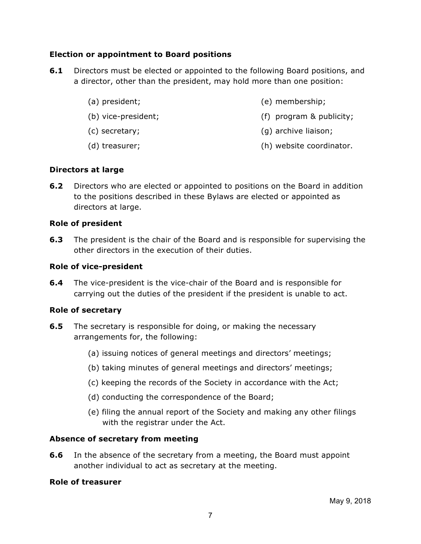### **Election or appointment to Board positions**

- **6.1** Directors must be elected or appointed to the following Board positions, and a director, other than the president, may hold more than one position:
	- (a) president;
	- (b) vice-president;
	- (c) secretary;
- (e) membership;
- (f) program & publicity;
- (g) archive liaison;
- (d) treasurer; (h) website coordinator.

### **Directors at large**

**6.2** Directors who are elected or appointed to positions on the Board in addition to the positions described in these Bylaws are elected or appointed as directors at large.

### **Role of president**

**6.3** The president is the chair of the Board and is responsible for supervising the other directors in the execution of their duties.

### **Role of vice-president**

**6.4** The vice-president is the vice-chair of the Board and is responsible for carrying out the duties of the president if the president is unable to act.

### **Role of secretary**

- **6.5** The secretary is responsible for doing, or making the necessary arrangements for, the following:
	- (a) issuing notices of general meetings and directors' meetings;
	- (b) taking minutes of general meetings and directors' meetings;
	- (c) keeping the records of the Society in accordance with the Act;
	- (d) conducting the correspondence of the Board;
	- (e) filing the annual report of the Society and making any other filings with the registrar under the Act.

## **Absence of secretary from meeting**

**6.6** In the absence of the secretary from a meeting, the Board must appoint another individual to act as secretary at the meeting.

### **Role of treasurer**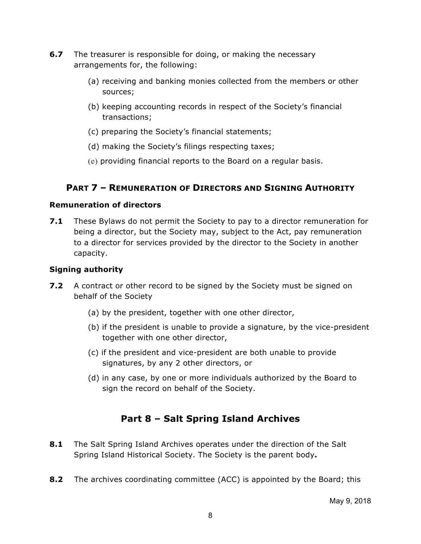- **6.7** The treasurer is responsible for doing, or making the necessary arrangements for, the following:
	- (a) receiving and banking monies collected from the members or other sources;
	- (b) keeping accounting records in respect of the Society's financial transactions;
	- (c) preparing the Society's financial statements;
	- (d) making the Society's filings respecting taxes;
	- (e) providing financial reports to the Board on a regular basis.

## **PART 7 – REMUNERATION OF DIRECTORS AND SIGNING AUTHORITY**

### **Remuneration of directors**

**7.1** These Bylaws do not permit the Society to pay to a director remuneration for being a director, but the Society may, subject to the Act, pay remuneration to a director for services provided by the director to the Society in another capacity.

## **Signing authority**

- **7.2** A contract or other record to be signed by the Society must be signed on behalf of the Society
	- (a) by the president, together with one other director,
	- (b) if the president is unable to provide a signature, by the vice-president together with one other director,
	- (c) if the president and vice-president are both unable to provide signatures, by any 2 other directors, or
	- (d) in any case, by one or more individuals authorized by the Board to sign the record on behalf of the Society.

# **Part 8 – Salt Spring Island Archives**

- **8.1** The Salt Spring Island Archives operates under the direction of the Salt Spring Island Historical Society. The Society is the parent body**.**
- **8.2** The archives coordinating committee (ACC) is appointed by the Board; this